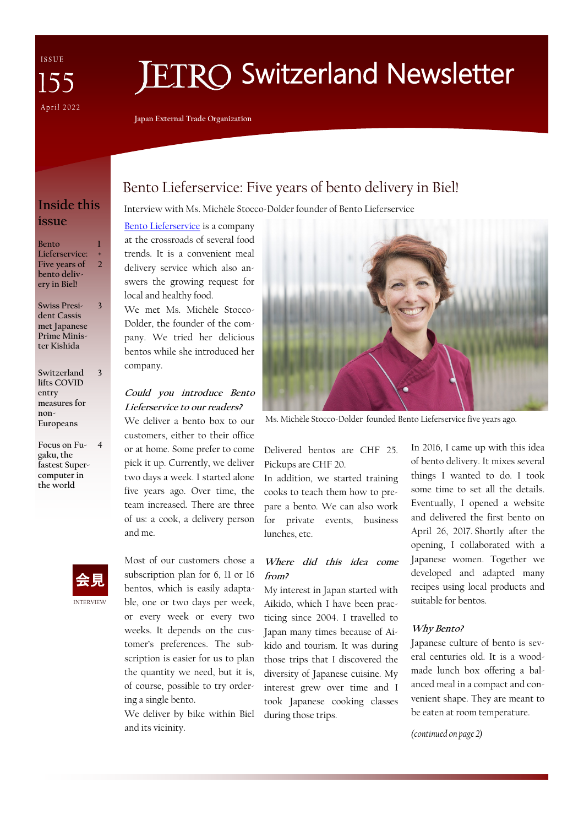ISSUE 55 April 2022

# **ETRO Switzerland Newsletter**

**Japan External Trade Organization**

## **Inside this issue**

**Bento Lieferservice: Five years of bento delivery in Biel! 1 + 2**

**Swiss President Cassis met Japanese Prime Minister Kishida 3**

**Switzerland lifts COVID entry measures for non-Europeans 3**

**Focus on Fu-4 gaku, the fastest Supercomputer in the world**



## Bento Lieferservice: Five years of bento delivery in Biel!

#### Interview with Ms. Michèle Stocco-Dolder founder of Bento Lieferservice

[Bento Lieferservice](https://bentobox-lieferservice.ch/) is a company at the crossroads of several food trends. It is a convenient meal delivery service which also answers the growing request for local and healthy food.

We met Ms. Michèle Stocco-Dolder, the founder of the company. We tried her delicious bentos while she introduced her company.

#### **Could you introduce Bento Lieferservice to our readers?**

We deliver a bento box to our customers, either to their office or at home. Some prefer to come pick it up. Currently, we deliver two days a week. I started alone five years ago. Over time, the team increased. There are three of us: a cook, a delivery person and me.

subscription plan for 6, 11 or 16 bentos, which is easily adaptable, one or two days per week, or every week or every two weeks. It depends on the customer's preferences. The subscription is easier for us to plan the quantity we need, but it is, of course, possible to try ordering a single bento.

Most of our customers chose a

We deliver by bike within Biel and its vicinity.



Ms. Michèle Stocco-Dolder founded Bento Lieferservice five years ago.

Delivered bentos are CHF 25. Pickups are CHF 20.

In addition, we started training cooks to teach them how to prepare a bento. We can also work for private events, business lunches, etc.

#### **Where did this idea come from?**

My interest in Japan started with Aikido, which I have been practicing since 2004. I travelled to Japan many times because of Aikido and tourism. It was during those trips that I discovered the diversity of Japanese cuisine. My interest grew over time and I took Japanese cooking classes during those trips.

In 2016, I came up with this idea of bento delivery. It mixes several things I wanted to do. I took some time to set all the details. Eventually, I opened a website and delivered the first bento on April 26, 2017. Shortly after the opening, I collaborated with a Japanese women. Together we developed and adapted many recipes using local products and suitable for bentos.

#### **Why Bento?**

Japanese culture of bento is several centuries old. It is a woodmade lunch box offering a balanced meal in a compact and convenient shape. They are meant to be eaten at room temperature.

*(continued on page 2)*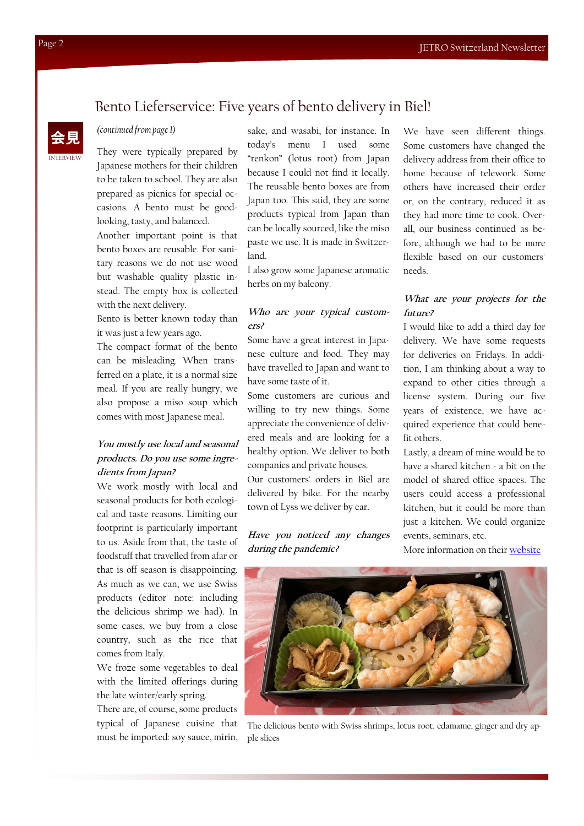### Bento Lieferservice: Five years of bento delivery in Biel!

#### *(continued from page 1)*

They were typically prepared by Japanese mothers for their children to be taken to school. They are also prepared as picnics for special occasions. A bento must be goodlooking, tasty, and balanced.

Another important point is that bento boxes are reusable. For sanitary reasons we do not use wood but washable quality plastic instead. The empty box is collected with the next delivery.

Bento is better known today than it was just a few years ago.

The compact format of the bento can be misleading. When transferred on a plate, it is a normal size meal. If you are really hungry, we also propose a miso soup which comes with most Japanese meal.

#### **You mostly use local and seasonal products. Do you use some ingredients from Japan?**

We work mostly with local and seasonal products for both ecological and taste reasons. Limiting our footprint is particularly important to us. Aside from that, the taste of foodstuff that travelled from afar or that is off season is disappointing. As much as we can, we use Swiss products (editor' note: including the delicious shrimp we had). In some cases, we buy from a close country, such as the rice that comes from Italy.

We froze some vegetables to deal with the limited offerings during the late winter/early spring.

There are, of course, some products typical of Japanese cuisine that must be imported: soy sauce, mirin,

sake, and wasabi, for instance. In today's menu I used some "renkon" (lotus root) from Japan because I could not find it locally. The reusable bento boxes are from Japan too. This said, they are some products typical from Japan than can be locally sourced, like the miso paste we use. It is made in Switzerland.

I also grow some Japanese aromatic herbs on my balcony.

#### **Who are your typical customers?**

Some have a great interest in Japanese culture and food. They may have travelled to Japan and want to have some taste of it.

Some customers are curious and willing to try new things. Some appreciate the convenience of delivered meals and are looking for a healthy option. We deliver to both companies and private houses.

Our customers' orders in Biel are delivered by bike. For the nearby town of Lyss we deliver by car.

#### **Have you noticed any changes during the pandemic?**

We have seen different things. Some customers have changed the delivery address from their office to home because of telework. Some others have increased their order or, on the contrary, reduced it as they had more time to cook. Overall, our business continued as before, although we had to be more flexible based on our customers' needs.

#### **What are your projects for the future?**

I would like to add a third day for delivery. We have some requests for deliveries on Fridays. In addition, I am thinking about a way to expand to other cities through a license system. During our five years of existence, we have acquired experience that could benefit others.

Lastly, a dream of mine would be to have a shared kitchen - a bit on the model of shared office spaces. The users could access a professional kitchen, but it could be more than just a kitchen. We could organize events, seminars, etc.

More information on their [website](https://bentobox-lieferservice.ch/)



The delicious bento with Swiss shrimps, lotus root, edamame, ginger and dry apple slices

INTERVIEW

会見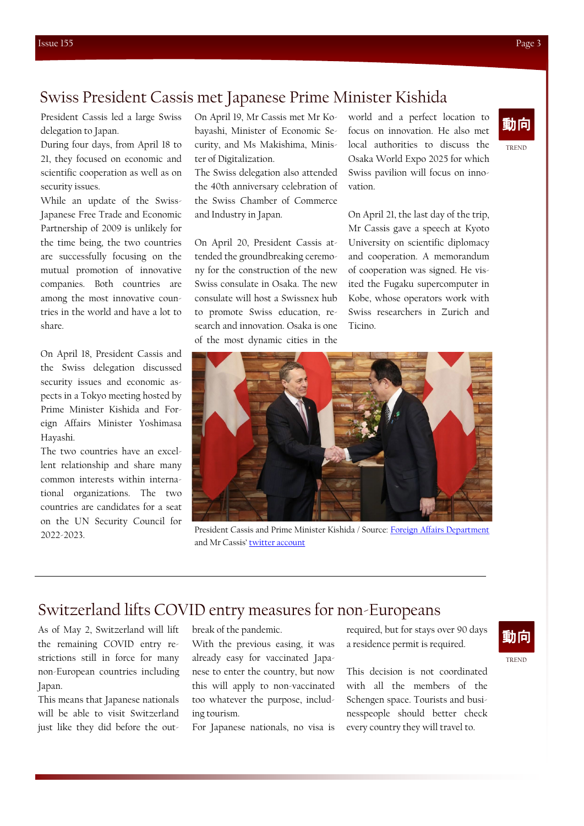## Swiss President Cassis met Japanese Prime Minister Kishida

President Cassis led a large Swiss delegation to Japan.

During four days, from April 18 to 21, they focused on economic and scientific cooperation as well as on security issues.

While an update of the Swiss-Japanese Free Trade and Economic Partnership of 2009 is unlikely for the time being, the two countries are successfully focusing on the mutual promotion of innovative companies. Both countries are among the most innovative countries in the world and have a lot to share.

On April 18, President Cassis and the Swiss delegation discussed security issues and economic aspects in a Tokyo meeting hosted by Prime Minister Kishida and Foreign Affairs Minister Yoshimasa Hayashi.

The two countries have an excellent relationship and share many common interests within international organizations. The two countries are candidates for a seat on the UN Security Council for 2022-2023.

On April 19, Mr Cassis met Mr Kobayashi, Minister of Economic Security, and Ms Makishima, Minister of Digitalization.

The Swiss delegation also attended the 40th anniversary celebration of the Swiss Chamber of Commerce and Industry in Japan.

On April 20, President Cassis attended the groundbreaking ceremony for the construction of the new Swiss consulate in Osaka. The new consulate will host a Swissnex hub to promote Swiss education, research and innovation. Osaka is one of the most dynamic cities in the

world and a perfect location to focus on innovation. He also met local authorities to discuss the Osaka World Expo 2025 for which Swiss pavilion will focus on innovation.

On April 21, the last day of the trip, Mr Cassis gave a speech at Kyoto University on scientific diplomacy and cooperation. A memorandum of cooperation was signed. He visited the Fugaku supercomputer in Kobe, whose operators work with Swiss researchers in Zurich and Ticino.

President Cassis and Prime Minister Kishida / Source: [Foreign Affairs Department](https://www.eda.admin.ch/countries/japan/en/home/news/news.html/content/countries/japan/en/meta/news/2022/4/BPIC_delegation_Japan_2022_1) and Mr Cassis' [twitter account](https://twitter.com/ignaziocassis)

# Switzerland lifts COVID entry measures for non-Europeans

As of May 2, Switzerland will lift the remaining COVID entry restrictions still in force for many non-European countries including Japan.

This means that Japanese nationals will be able to visit Switzerland just like they did before the outbreak of the pandemic.

With the previous easing, it was already easy for vaccinated Japanese to enter the country, but now this will apply to non-vaccinated too whatever the purpose, including tourism.

For Japanese nationals, no visa is

required, but for stays over 90 days a residence permit is required.

This decision is not coordinated with all the members of the Schengen space. Tourists and businesspeople should better check every country they will travel to.

TREND

動向



TREND

動向